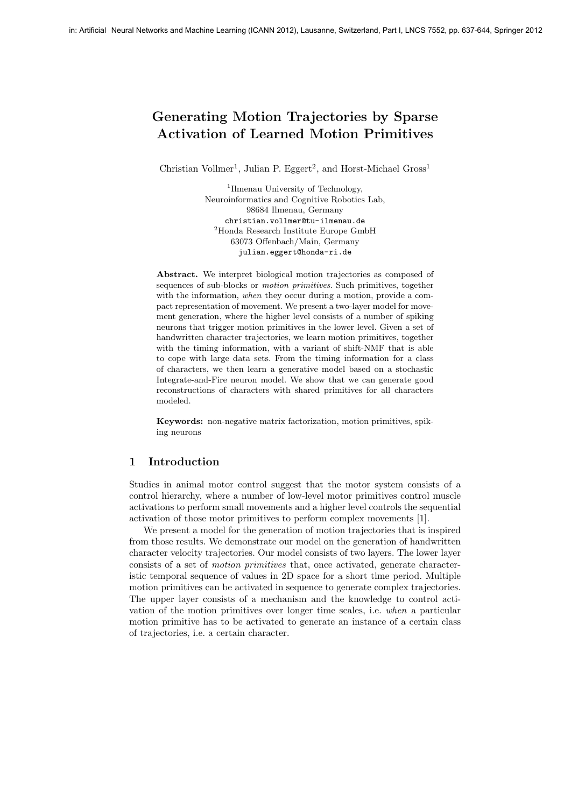# Generating Motion Trajectories by Sparse Activation of Learned Motion Primitives

Christian Vollmer<sup>1</sup>, Julian P. Eggert<sup>2</sup>, and Horst-Michael Gross<sup>1</sup>

1 Ilmenau University of Technology, Neuroinformatics and Cognitive Robotics Lab, 98684 Ilmenau, Germany christian.vollmer@tu-ilmenau.de <sup>2</sup>Honda Research Institute Europe GmbH 63073 Offenbach/Main, Germany julian.eggert@honda-ri.de

Abstract. We interpret biological motion trajectories as composed of sequences of sub-blocks or motion primitives. Such primitives, together with the information, when they occur during a motion, provide a compact representation of movement. We present a two-layer model for movement generation, where the higher level consists of a number of spiking neurons that trigger motion primitives in the lower level. Given a set of handwritten character trajectories, we learn motion primitives, together with the timing information, with a variant of shift-NMF that is able to cope with large data sets. From the timing information for a class of characters, we then learn a generative model based on a stochastic Integrate-and-Fire neuron model. We show that we can generate good reconstructions of characters with shared primitives for all characters modeled.

Keywords: non-negative matrix factorization, motion primitives, spiking neurons

## 1 Introduction

Studies in animal motor control suggest that the motor system consists of a control hierarchy, where a number of low-level motor primitives control muscle activations to perform small movements and a higher level controls the sequential activation of those motor primitives to perform complex movements [1].

We present a model for the generation of motion trajectories that is inspired from those results. We demonstrate our model on the generation of handwritten character velocity trajectories. Our model consists of two layers. The lower layer consists of a set of motion primitives that, once activated, generate characteristic temporal sequence of values in 2D space for a short time period. Multiple motion primitives can be activated in sequence to generate complex trajectories. The upper layer consists of a mechanism and the knowledge to control activation of the motion primitives over longer time scales, i.e. when a particular motion primitive has to be activated to generate an instance of a certain class of trajectories, i.e. a certain character.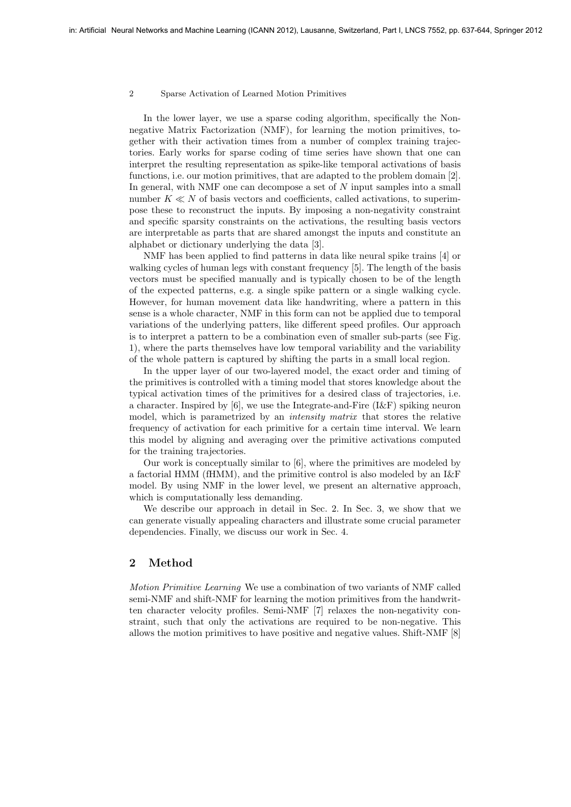In the lower layer, we use a sparse coding algorithm, specifically the Nonnegative Matrix Factorization (NMF), for learning the motion primitives, together with their activation times from a number of complex training trajectories. Early works for sparse coding of time series have shown that one can interpret the resulting representation as spike-like temporal activations of basis functions, i.e. our motion primitives, that are adapted to the problem domain [2]. In general, with NMF one can decompose a set of N input samples into a small number  $K \ll N$  of basis vectors and coefficients, called activations, to superimpose these to reconstruct the inputs. By imposing a non-negativity constraint and specific sparsity constraints on the activations, the resulting basis vectors are interpretable as parts that are shared amongst the inputs and constitute an alphabet or dictionary underlying the data [3].

NMF has been applied to find patterns in data like neural spike trains [4] or walking cycles of human legs with constant frequency [5]. The length of the basis vectors must be specified manually and is typically chosen to be of the length of the expected patterns, e.g. a single spike pattern or a single walking cycle. However, for human movement data like handwriting, where a pattern in this sense is a whole character, NMF in this form can not be applied due to temporal variations of the underlying patters, like different speed profiles. Our approach is to interpret a pattern to be a combination even of smaller sub-parts (see Fig. 1), where the parts themselves have low temporal variability and the variability of the whole pattern is captured by shifting the parts in a small local region.

In the upper layer of our two-layered model, the exact order and timing of the primitives is controlled with a timing model that stores knowledge about the typical activation times of the primitives for a desired class of trajectories, i.e. a character. Inspired by  $[6]$ , we use the Integrate-and-Fire  $(I \& F)$  spiking neuron model, which is parametrized by an *intensity matrix* that stores the relative frequency of activation for each primitive for a certain time interval. We learn this model by aligning and averaging over the primitive activations computed for the training trajectories.

Our work is conceptually similar to [6], where the primitives are modeled by a factorial HMM (fHMM), and the primitive control is also modeled by an I&F model. By using NMF in the lower level, we present an alternative approach, which is computationally less demanding.

We describe our approach in detail in Sec. 2. In Sec. 3, we show that we can generate visually appealing characters and illustrate some crucial parameter dependencies. Finally, we discuss our work in Sec. 4.

## 2 Method

Motion Primitive Learning We use a combination of two variants of NMF called semi-NMF and shift-NMF for learning the motion primitives from the handwritten character velocity profiles. Semi-NMF [7] relaxes the non-negativity constraint, such that only the activations are required to be non-negative. This allows the motion primitives to have positive and negative values. Shift-NMF [8]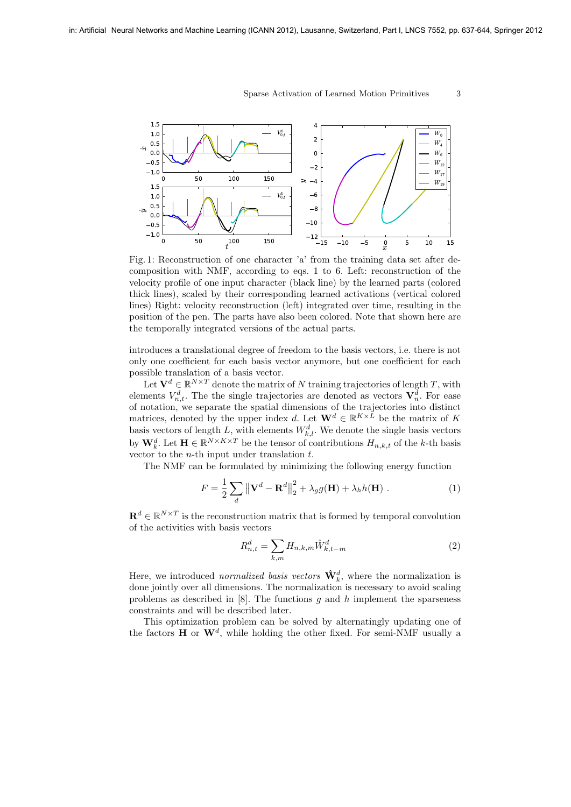

Fig. 1: Reconstruction of one character 'a' from the training data set after decomposition with NMF, according to eqs. 1 to 6. Left: reconstruction of the velocity profile of one input character (black line) by the learned parts (colored thick lines), scaled by their corresponding learned activations (vertical colored lines) Right: velocity reconstruction (left) integrated over time, resulting in the position of the pen. The parts have also been colored. Note that shown here are the temporally integrated versions of the actual parts.

introduces a translational degree of freedom to the basis vectors, i.e. there is not only one coefficient for each basis vector anymore, but one coefficient for each possible translation of a basis vector.

Let  $V^d \in \mathbb{R}^{N \times T}$  denote the matrix of N training trajectories of length T, with elements  $V_{n,t}^d$ . The the single trajectories are denoted as vectors  $\mathbf{V}_n^d$ . For ease of notation, we separate the spatial dimensions of the trajectories into distinct matrices, denoted by the upper index d. Let  $\mathbf{W}^d \in \mathbb{R}^{K \times L}$  be the matrix of K basis vectors of length L, with elements  $W_{k,l}^d$ . We denote the single basis vectors by  $\mathbf{W}_k^d$ . Let  $\mathbf{H} \in \mathbb{R}^{N \times K \times T}$  be the tensor of contributions  $H_{n,k,t}$  of the k-th basis vector to the *n*-th input under translation  $t$ .

The NMF can be formulated by minimizing the following energy function

$$
F = \frac{1}{2} \sum_{d} \left\| \mathbf{V}^{d} - \mathbf{R}^{d} \right\|_{2}^{2} + \lambda_{g} g(\mathbf{H}) + \lambda_{h} h(\mathbf{H}) . \tag{1}
$$

 $\mathbf{R}^d \in \mathbb{R}^{N \times T}$  is the reconstruction matrix that is formed by temporal convolution of the activities with basis vectors

$$
R_{n,t}^d = \sum_{k,m} H_{n,k,m} \hat{W}_{k,t-m}^d
$$
 (2)

Here, we introduced *normalized basis vectors*  $\hat{\mathbf{W}}_k^d$ , where the normalization is done jointly over all dimensions. The normalization is necessary to avoid scaling problems as described in [8]. The functions g and h implement the sparseness constraints and will be described later.

This optimization problem can be solved by alternatingly updating one of the factors **H** or  $\mathbf{W}^{d}$ , while holding the other fixed. For semi-NMF usually a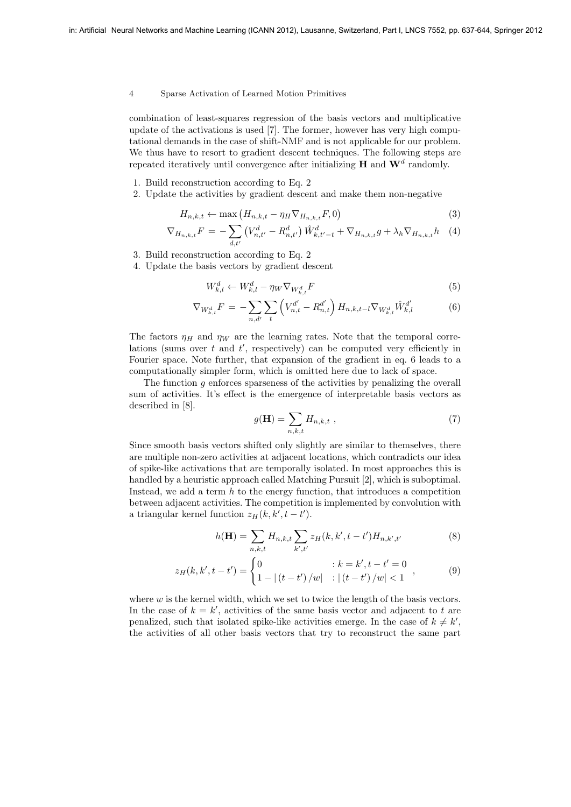combination of least-squares regression of the basis vectors and multiplicative update of the activations is used [7]. The former, however has very high computational demands in the case of shift-NMF and is not applicable for our problem. We thus have to resort to gradient descent techniques. The following steps are repeated iteratively until convergence after initializing **H** and  $\mathbf{W}^{d}$  randomly.

- 1. Build reconstruction according to Eq. 2
- 2. Update the activities by gradient descent and make them non-negative

$$
H_{n,k,t} \leftarrow \max\left(H_{n,k,t} - \eta_H \nabla_{H_{n,k,t}} F, 0\right) \tag{3}
$$

$$
\nabla_{H_{n,k,t}} F = -\sum_{d,t'} \left( V_{n,t'}^d - R_{n,t'}^d \right) \hat{W}_{k,t'-t}^d + \nabla_{H_{n,k,t}} g + \lambda_h \nabla_{H_{n,k,t}} h \quad (4)
$$

- 3. Build reconstruction according to Eq. 2
- 4. Update the basis vectors by gradient descent

$$
W_{k,l}^d \leftarrow W_{k,l}^d - \eta_W \nabla_{W_{k,l}^d} F
$$
\n
$$
\tag{5}
$$

$$
\nabla_{W_{k,l}^d} F = -\sum_{n,d'} \sum_{t} \left( V_{n,t}^{d'} - R_{n,t}^{d'} \right) H_{n,k,t-l} \nabla_{W_{k,l}^d} \hat{W}_{k,l}^{d'} \tag{6}
$$

The factors  $\eta_H$  and  $\eta_W$  are the learning rates. Note that the temporal correlations (sums over  $t$  and  $t'$ , respectively) can be computed very efficiently in Fourier space. Note further, that expansion of the gradient in eq. 6 leads to a computationally simpler form, which is omitted here due to lack of space.

The function g enforces sparseness of the activities by penalizing the overall sum of activities. It's effect is the emergence of interpretable basis vectors as described in [8].

$$
g(\mathbf{H}) = \sum_{n,k,t} H_{n,k,t} \tag{7}
$$

Since smooth basis vectors shifted only slightly are similar to themselves, there are multiple non-zero activities at adjacent locations, which contradicts our idea of spike-like activations that are temporally isolated. In most approaches this is handled by a heuristic approach called Matching Pursuit [2], which is suboptimal. Instead, we add a term  $h$  to the energy function, that introduces a competition between adjacent activities. The competition is implemented by convolution with a triangular kernel function  $z_H(k, k', t - t')$ .

$$
h(\mathbf{H}) = \sum_{n,k,t} H_{n,k,t} \sum_{k',t'} z_H(k,k',t-t') H_{n,k',t'} \tag{8}
$$

$$
z_H(k, k', t - t') = \begin{cases} 0 & \text{if } k = k', t - t' = 0 \\ 1 - \left| \left( t - t' \right) / w \right| & \text{if } \left( t - t' \right) / w \right| < 1 \end{cases}, \tag{9}
$$

where  $w$  is the kernel width, which we set to twice the length of the basis vectors. In the case of  $k = k'$ , activities of the same basis vector and adjacent to t are penalized, such that isolated spike-like activities emerge. In the case of  $k \neq k'$ , the activities of all other basis vectors that try to reconstruct the same part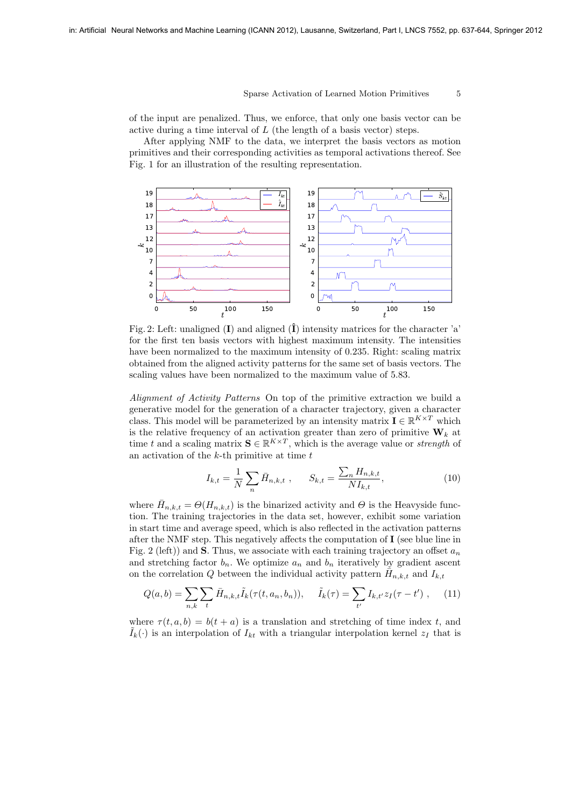of the input are penalized. Thus, we enforce, that only one basis vector can be active during a time interval of  $L$  (the length of a basis vector) steps.

After applying NMF to the data, we interpret the basis vectors as motion primitives and their corresponding activities as temporal activations thereof. See Fig. 1 for an illustration of the resulting representation.



Fig. 2: Left: unaligned (I) and aligned  $(\hat{\mathbf{I}})$  intensity matrices for the character 'a' for the first ten basis vectors with highest maximum intensity. The intensities have been normalized to the maximum intensity of 0.235. Right: scaling matrix obtained from the aligned activity patterns for the same set of basis vectors. The scaling values have been normalized to the maximum value of 5.83.

Alignment of Activity Patterns On top of the primitive extraction we build a generative model for the generation of a character trajectory, given a character class. This model will be parameterized by an intensity matrix  $\mathbf{I} \in \mathbb{R}^{K \times T}$  which is the relative frequency of an activation greater than zero of primitive  $\mathbf{W}_k$  at time t and a scaling matrix  $\mathbf{S} \in \mathbb{R}^{K \times T}$ , which is the average value or *strength* of an activation of the  $k$ -th primitive at time  $t$ 

$$
I_{k,t} = \frac{1}{N} \sum_{n} \bar{H}_{n,k,t} , \qquad S_{k,t} = \frac{\sum_{n} H_{n,k,t}}{N I_{k,t}}, \tag{10}
$$

where  $\bar{H}_{n,k,t} = \Theta(H_{n,k,t})$  is the binarized activity and  $\Theta$  is the Heavyside function. The training trajectories in the data set, however, exhibit some variation in start time and average speed, which is also reflected in the activation patterns after the NMF step. This negatively affects the computation of  $I$  (see blue line in Fig. 2 (left)) and **S**. Thus, we associate with each training trajectory an offset  $a_n$ and stretching factor  $b_n$ . We optimize  $a_n$  and  $b_n$  iteratively by gradient ascent on the correlation Q between the individual activity pattern  $\tilde{H}_{n,k,t}$  and  $I_{k,t}$ 

$$
Q(a,b) = \sum_{n,k} \sum_{t} \bar{H}_{n,k,t} \tilde{I}_k(\tau(t,a_n,b_n)), \quad \tilde{I}_k(\tau) = \sum_{t'} I_{k,t'} z_I(\tau - t') , \quad (11)
$$

where  $\tau(t, a, b) = b(t + a)$  is a translation and stretching of time index t, and  $I_k(\cdot)$  is an interpolation of  $I_{kt}$  with a triangular interpolation kernel  $z_I$  that is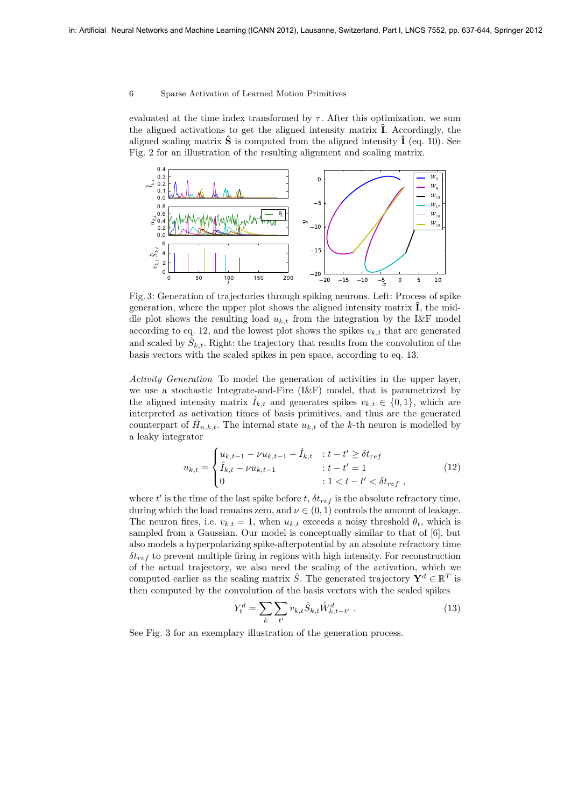evaluated at the time index transformed by  $\tau$ . After this optimization, we sum the aligned activations to get the aligned intensity matrix  $\hat{\mathbf{I}}$ . Accordingly, the aligned scaling matrix  $\hat{\mathbf{S}}$  is computed from the aligned intensity  $\hat{\mathbf{I}}$  (eq. 10). See Fig. 2 for an illustration of the resulting alignment and scaling matrix.



Fig. 3: Generation of trajectories through spiking neurons. Left: Process of spike generation, where the upper plot shows the aligned intensity matrix  $\hat{\mathbf{I}}$ , the middle plot shows the resulting load  $u_{k,t}$  from the integration by the I&F model according to eq. 12, and the lowest plot shows the spikes  $v_{k,t}$  that are generated and scaled by  $\hat{S}_{k,t}$ . Right: the trajectory that results from the convolution of the basis vectors with the scaled spikes in pen space, according to eq. 13.

Activity Generation To model the generation of activities in the upper layer, we use a stochastic Integrate-and-Fire (I&F) model, that is parametrized by the aligned intensity matrix  $I_{k,t}$  and generates spikes  $v_{k,t} \in \{0,1\}$ , which are interpreted as activation times of basis primitives, and thus are the generated counterpart of  $\bar{H}_{n,k,t}$ . The internal state  $u_{k,t}$  of the k-th neuron is modelled by a leaky integrator

$$
u_{k,t} = \begin{cases} u_{k,t-1} - \nu u_{k,t-1} + \hat{I}_{k,t} & : t - t' \ge \delta t_{ref} \\ \hat{I}_{k,t} - \nu u_{k,t-1} & : t - t' = 1 \\ 0 & : 1 < t - t' < \delta t_{ref} \end{cases} \tag{12}
$$

where  $t'$  is the time of the last spike before  $t, \delta t_{ref}$  is the absolute refractory time, during which the load remains zero, and  $\nu \in (0, 1)$  controls the amount of leakage. The neuron fires, i.e.  $v_{k,t} = 1$ , when  $u_{k,t}$  exceeds a noisy threshold  $\theta_t$ , which is sampled from a Gaussian. Our model is conceptually similar to that of [6], but also models a hyperpolarizing spike-afterpotential by an absolute refractory time  $\delta t_{ref}$  to prevent multiple firing in regions with high intensity. For reconstruction of the actual trajectory, we also need the scaling of the activation, which we computed earlier as the scaling matrix  $\hat{S}$ . The generated trajectory  $\mathbf{Y}^d \in \mathbb{R}^T$  is then computed by the convolution of the basis vectors with the scaled spikes

$$
Y_t^d = \sum_k \sum_{t'} v_{k,t} \hat{S}_{k,t} \hat{W}_{k,t-t'}^d .
$$
 (13)

See Fig. 3 for an exemplary illustration of the generation process.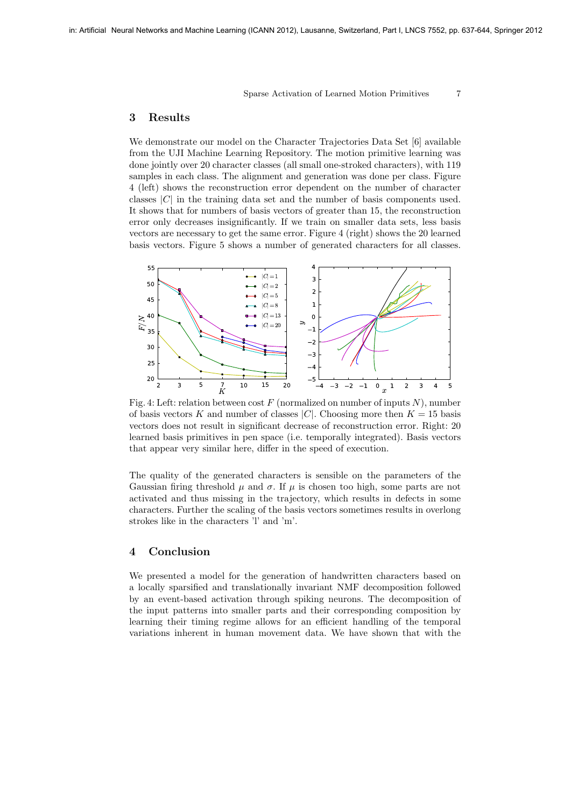## 3 Results

We demonstrate our model on the Character Trajectories Data Set [6] available from the UJI Machine Learning Repository. The motion primitive learning was done jointly over 20 character classes (all small one-stroked characters), with 119 samples in each class. The alignment and generation was done per class. Figure 4 (left) shows the reconstruction error dependent on the number of character classes  $|C|$  in the training data set and the number of basis components used. It shows that for numbers of basis vectors of greater than 15, the reconstruction error only decreases insignificantly. If we train on smaller data sets, less basis vectors are necessary to get the same error. Figure 4 (right) shows the 20 learned basis vectors. Figure 5 shows a number of generated characters for all classes.



Fig. 4: Left: relation between cost  $F$  (normalized on number of inputs  $N$ ), number of basis vectors K and number of classes  $|C|$ . Choosing more then  $K = 15$  basis vectors does not result in significant decrease of reconstruction error. Right: 20 learned basis primitives in pen space (i.e. temporally integrated). Basis vectors that appear very similar here, differ in the speed of execution.

The quality of the generated characters is sensible on the parameters of the Gaussian firing threshold  $\mu$  and  $\sigma$ . If  $\mu$  is chosen too high, some parts are not activated and thus missing in the trajectory, which results in defects in some characters. Further the scaling of the basis vectors sometimes results in overlong strokes like in the characters 'l' and 'm'.

## 4 Conclusion

We presented a model for the generation of handwritten characters based on a locally sparsified and translationally invariant NMF decomposition followed by an event-based activation through spiking neurons. The decomposition of the input patterns into smaller parts and their corresponding composition by learning their timing regime allows for an efficient handling of the temporal variations inherent in human movement data. We have shown that with the